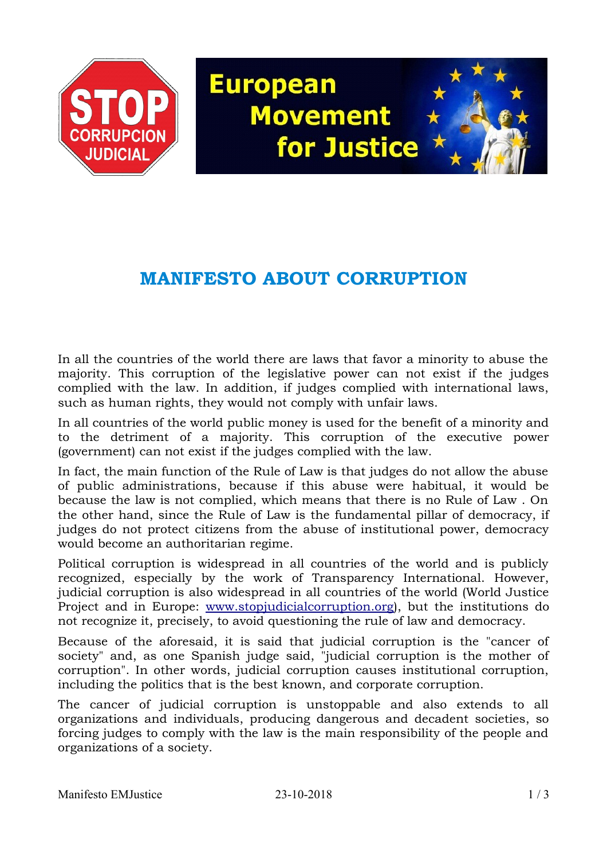

## **European Movement** for Justice

## **MANIFESTO ABOUT CORRUPTION**

In all the countries of the world there are laws that favor a minority to abuse the majority. This corruption of the legislative power can not exist if the judges complied with the law. In addition, if judges complied with international laws, such as human rights, they would not comply with unfair laws.

In all countries of the world public money is used for the benefit of a minority and to the detriment of a majority. This corruption of the executive power (government) can not exist if the judges complied with the law.

In fact, the main function of the Rule of Law is that judges do not allow the abuse of public administrations, because if this abuse were habitual, it would be because the law is not complied, which means that there is no Rule of Law . On the other hand, since the Rule of Law is the fundamental pillar of democracy, if judges do not protect citizens from the abuse of institutional power, democracy would become an authoritarian regime.

Political corruption is widespread in all countries of the world and is publicly recognized, especially by the work of Transparency International. However, judicial corruption is also widespread in all countries of the world (World Justice Project and in Europe: [www.stopjudicialcorruption.org\)](http://www.stopjudicialcorruption.org/), but the institutions do not recognize it, precisely, to avoid questioning the rule of law and democracy.

Because of the aforesaid, it is said that judicial corruption is the "cancer of society" and, as one Spanish judge said, "judicial corruption is the mother of corruption". In other words, judicial corruption causes institutional corruption, including the politics that is the best known, and corporate corruption.

The cancer of judicial corruption is unstoppable and also extends to all organizations and individuals, producing dangerous and decadent societies, so forcing judges to comply with the law is the main responsibility of the people and organizations of a society.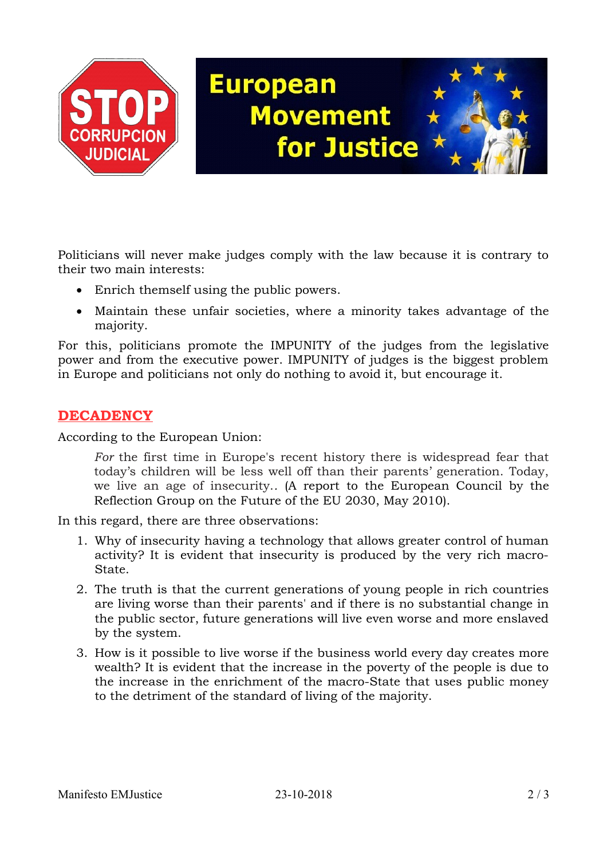

Politicians will never make judges comply with the law because it is contrary to their two main interests:

- Enrich themself using the public powers.
- Maintain these unfair societies, where a minority takes advantage of the majority.

For this, politicians promote the IMPUNITY of the judges from the legislative power and from the executive power. IMPUNITY of judges is the biggest problem in Europe and politicians not only do nothing to avoid it, but encourage it.

## **DECADENCY**

According to the European Union:

*For* the first time in Europe's recent history there is widespread fear that today's children will be less well off than their parents' generation. Today, we live an age of insecurity.*.* (A report to the European Council by the Reflection Group on the Future of the EU 2030, May 2010).

In this regard, there are three observations:

- 1. Why of insecurity having a technology that allows greater control of human activity? It is evident that insecurity is produced by the very rich macro-State.
- 2. The truth is that the current generations of young people in rich countries are living worse than their parents' and if there is no substantial change in the public sector, future generations will live even worse and more enslaved by the system.
- 3. How is it possible to live worse if the business world every day creates more wealth? It is evident that the increase in the poverty of the people is due to the increase in the enrichment of the macro-State that uses public money to the detriment of the standard of living of the majority.